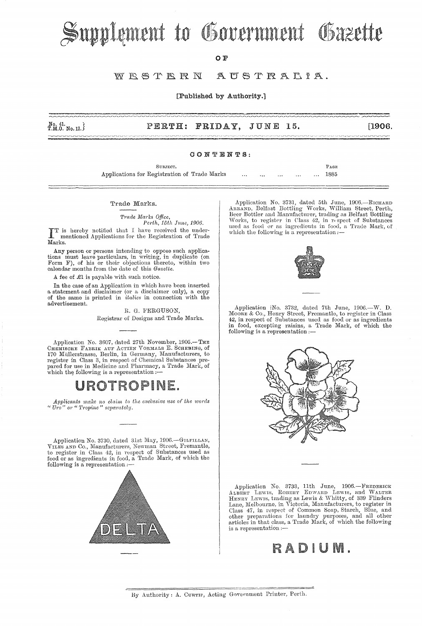# Supplement to Government Gazette

O F

#### WESTERN AUSTRALIA.

[Published by Authority.]

 $N_0, 41,$ <br>T.M.O. No. 12.

#### PERTH: FRIDAY, **JUNE 15.**

### CONTENTS:

Applications for Registration of Trade Marks

### Trade Marks.

Trade Marks Office, Perth, 15th June, 1906.

SUBJECT.

TT is hereby notified that I have received the under-<br>I mentioned Applications for the Registration of Trade Marks.

Any person or persons intending to oppose such applications must leave particulars, in writing, in duplicate (on Form F), of his or their objections thereto, within two calendar months from the date of this Gazette.

A fee of  $\mathcal{L}1$  is payable with such notice.

In the case of an Application in which have been inserted a statement and disclaimer (or a disclaimer only), a copy of the same is printed in *italics* in connection with the advertisement.

> R. G. FERGUSON, Registrar of Designs and Trade Marks.

Application No. 3607, dated 27th November, 1905.-THE CHEMISCHE FABRIK AUF ACTIEN VORMALS E. SCHERING, of 170 Müllerstrasse, Berlin, in Germany, Manufacturers, to register in Class 3, in respect of Chemical Substances pre-<br>pared for use in Medicine and Pharmacy, a Trade Mark, of which the following is a representation :-

### UROTROPINE.

Applicants make no claim to the exclusive use of the words " $Uro$ " or "Tropine" separately.

Application No. 3730, dated 31st May, 1906.—GILFILLAN, VILES AND Co., Manufacturers, Newman Street, Fremantle, to register in Class 42, in respect of Substances used as food or as ingredients in food, a Trade Mark, of whic following is a representation :-



Application No. 3731, dated 5th June, 1906.—RICHARD ARRAND, Belfast Bottling Works, William Street, Perth, Beer Bottler and Manufacturer, trading as Belfast Bottling Works, to register in Class 42, in respect of Substance

PAGE

1885



Application |No. 3732, dated 7th June, 1906.-W. D. "There & Co., Henry Street, Fremantle, to register in Class<br>42, in respect of Substances used as food or as ingredients food, excepting raisins, a Trade Mark, of which the following is a representation :-



Application No. 3733, 11th June, 1906.—FREDERICK<br>ALBERT LEWIS, ROBERT EDWARD LEWIS, and WALTER<br>HENRY LEWIS, trading as Lewis & Whitty, of 339 Flinders<br>Lane, Melbourne, in Victoria, Manufacturers, to register in<br> $\frac{m}{2}$  i Class 47, in respect of Common Soap, Starch, Blue, and<br>other preparations for laundry purposes, and all other articles in that class, a Trade Mark, of which the following is a representation :-

### RADIUM.

<sup>[1906.]</sup>